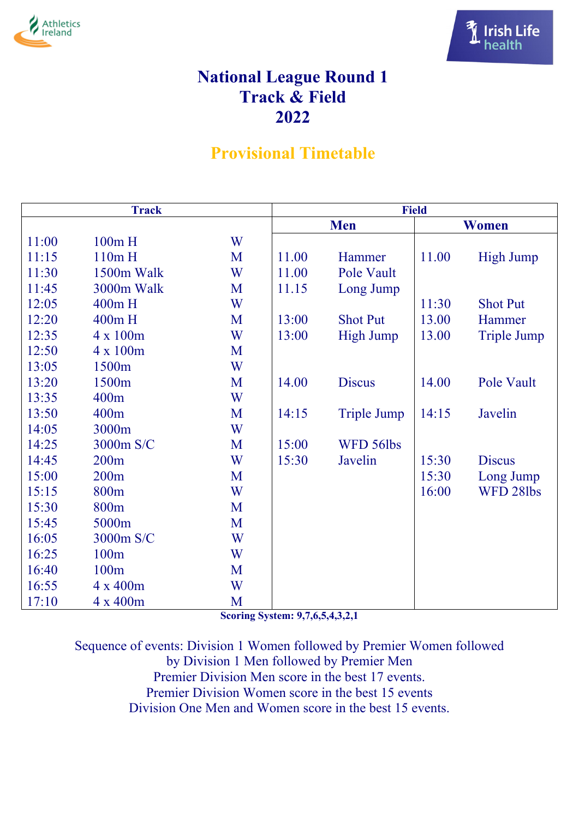



## **National League Round 1 Track & Field 2022**

## **Provisional Timetable**

| <b>Track</b> |                  |   |       | <b>Field</b>     |       |                    |  |
|--------------|------------------|---|-------|------------------|-------|--------------------|--|
|              | <b>Men</b>       |   |       | <b>Women</b>     |       |                    |  |
| 11:00        | $100m$ H         | W |       |                  |       |                    |  |
| 11:15        | 110mH            | M | 11.00 | Hammer           | 11.00 | <b>High Jump</b>   |  |
| 11:30        | 1500m Walk       | W | 11.00 | Pole Vault       |       |                    |  |
| 11:45        | 3000m Walk       | M | 11.15 | Long Jump        |       |                    |  |
| 12:05        | $400m$ H         | W |       |                  | 11:30 | <b>Shot Put</b>    |  |
| 12:20        | 400mH            | M | 13:00 | <b>Shot Put</b>  | 13.00 | Hammer             |  |
| 12:35        | 4 x 100m         | W | 13:00 | <b>High Jump</b> | 13.00 | <b>Triple Jump</b> |  |
| 12:50        | 4 x 100m         | M |       |                  |       |                    |  |
| 13:05        | 1500m            | W |       |                  |       |                    |  |
| 13:20        | 1500m            | M | 14.00 | <b>Discus</b>    | 14.00 | Pole Vault         |  |
| 13:35        | 400 <sub>m</sub> | W |       |                  |       |                    |  |
| 13:50        | 400 <sub>m</sub> | M | 14:15 | Triple Jump      | 14:15 | Javelin            |  |
| 14:05        | 3000m            | W |       |                  |       |                    |  |
| 14:25        | 3000m S/C        | M | 15:00 | WFD 56lbs        |       |                    |  |
| 14:45        | 200m             | W | 15:30 | Javelin          | 15:30 | <b>Discus</b>      |  |
| 15:00        | 200m             | M |       |                  | 15:30 | Long Jump          |  |
| 15:15        | 800m             | W |       |                  | 16:00 | WFD 28lbs          |  |
| 15:30        | 800m             | M |       |                  |       |                    |  |
| 15:45        | 5000m            | M |       |                  |       |                    |  |
| 16:05        | 3000m S/C        | W |       |                  |       |                    |  |
| 16:25        | 100m             | W |       |                  |       |                    |  |
| 16:40        | 100m             | M |       |                  |       |                    |  |
| 16:55        | 4 x 400m         | W |       |                  |       |                    |  |
| 17:10        | 4 x 400m         | M |       |                  |       |                    |  |

**Scoring System: 9,7,6,5,4,3,2,1**

Sequence of events: Division 1 Women followed by Premier Women followed by Division 1 Men followed by Premier Men Premier Division Men score in the best 17 events. Premier Division Women score in the best 15 events Division One Men and Women score in the best 15 events.